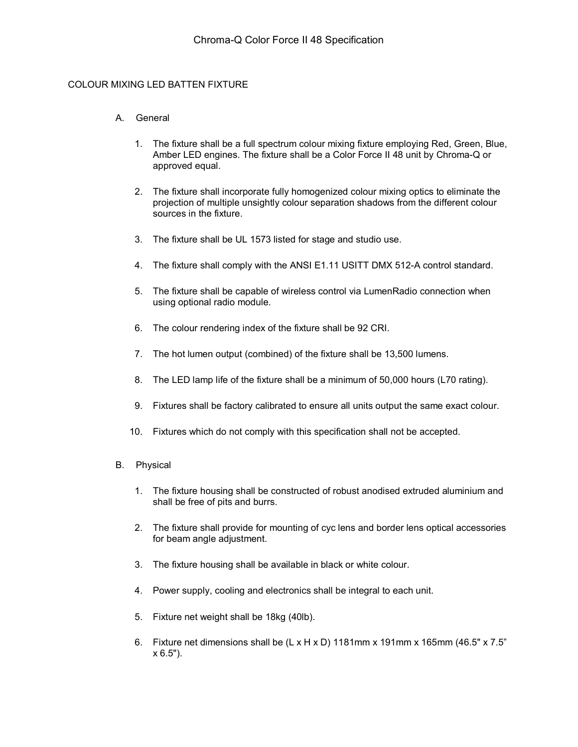#### COLOUR MIXING LED BATTEN FIXTURE

#### A. General

- 1. The fixture shall be a full spectrum colour mixing fixture employing Red, Green, Blue, Amber LED engines. The fixture shall be a Color Force II 48 unit by Chroma-Q or approved equal.
- 2. The fixture shall incorporate fully homogenized colour mixing optics to eliminate the projection of multiple unsightly colour separation shadows from the different colour sources in the fixture.
- 3. The fixture shall be UL 1573 listed for stage and studio use.
- 4. The fixture shall comply with the ANSI E1.11 USITT DMX 512-A control standard.
- 5. The fixture shall be capable of wireless control via LumenRadio connection when using optional radio module.
- 6. The colour rendering index of the fixture shall be 92 CRI.
- 7. The hot lumen output (combined) of the fixture shall be 13,500 lumens.
- 8. The LED lamp life of the fixture shall be a minimum of 50,000 hours (L70 rating).
- 9. Fixtures shall be factory calibrated to ensure all units output the same exact colour.
- 10. Fixtures which do not comply with this specification shall not be accepted.
- B. Physical
	- 1. The fixture housing shall be constructed of robust anodised extruded aluminium and shall be free of pits and burrs.
	- 2. The fixture shall provide for mounting of cyc lens and border lens optical accessories for beam angle adjustment.
	- 3. The fixture housing shall be available in black or white colour.
	- 4. Power supply, cooling and electronics shall be integral to each unit.
	- 5. Fixture net weight shall be 18kg (40lb).
	- 6. Fixture net dimensions shall be  $(L \times H \times D)$  1181mm x 191mm x 165mm (46.5" x 7.5" x 6.5").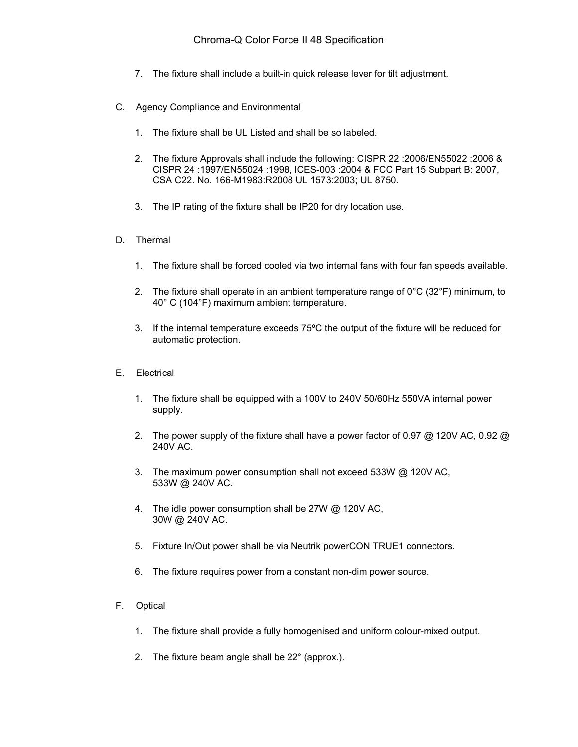- 7. The fixture shall include a built-in quick release lever for tilt adjustment.
- C. Agency Compliance and Environmental
	- 1. The fixture shall be UL Listed and shall be so labeled.
	- 2. The fixture Approvals shall include the following: CISPR 22 :2006/EN55022 :2006 & CISPR 24 :1997/EN55024 :1998, ICES-003 :2004 & FCC Part 15 Subpart B: 2007, CSA C22. No. 166-M1983:R2008 UL 1573:2003; UL 8750.
	- 3. The IP rating of the fixture shall be IP20 for dry location use.
- D. Thermal
	- 1. The fixture shall be forced cooled via two internal fans with four fan speeds available.
	- 2. The fixture shall operate in an ambient temperature range of  $0^{\circ}C$  (32 $^{\circ}F$ ) minimum, to 40° C (104°F) maximum ambient temperature.
	- 3. If the internal temperature exceeds 75ºC the output of the fixture will be reduced for automatic protection.
- E. Electrical
	- 1. The fixture shall be equipped with a 100V to 240V 50/60Hz 550VA internal power supply.
	- 2. The power supply of the fixture shall have a power factor of 0.97  $\omega$  120V AC, 0.92  $\omega$ 240V AC.
	- 3. The maximum power consumption shall not exceed 533W @ 120V AC, 533W @ 240V AC.
	- 4. The idle power consumption shall be 27W @ 120V AC, 30W @ 240V AC.
	- 5. Fixture In/Out power shall be via Neutrik powerCON TRUE1 connectors.
	- 6. The fixture requires power from a constant non-dim power source.
- F. Optical
	- 1. The fixture shall provide a fully homogenised and uniform colour-mixed output.
	- 2. The fixture beam angle shall be 22° (approx.).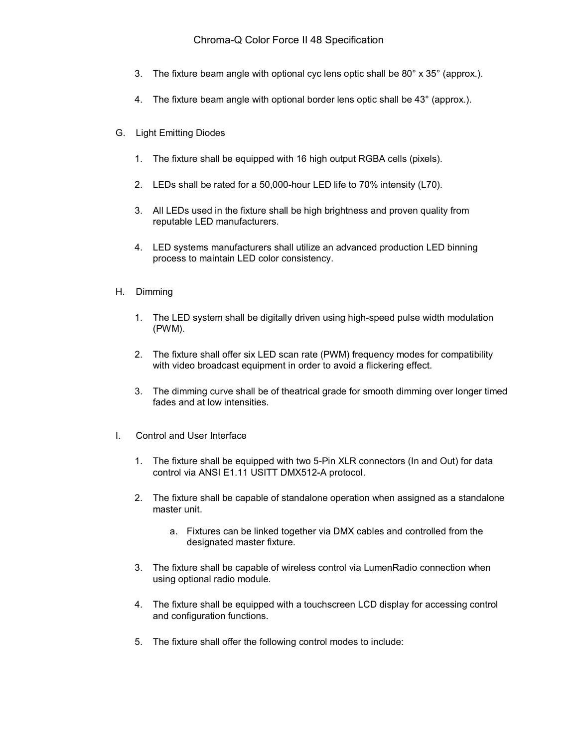## Chroma-Q Color Force II 48 Specification

- 3. The fixture beam angle with optional cyc lens optic shall be 80° x 35° (approx.).
- 4. The fixture beam angle with optional border lens optic shall be 43° (approx.).
- G. Light Emitting Diodes
	- 1. The fixture shall be equipped with 16 high output RGBA cells (pixels).
	- 2. LEDs shall be rated for a 50,000-hour LED life to 70% intensity (L70).
	- 3. All LEDs used in the fixture shall be high brightness and proven quality from reputable LED manufacturers.
	- 4. LED systems manufacturers shall utilize an advanced production LED binning process to maintain LED color consistency.
- H. Dimming
	- 1. The LED system shall be digitally driven using high-speed pulse width modulation (PWM).
	- 2. The fixture shall offer six LED scan rate (PWM) frequency modes for compatibility with video broadcast equipment in order to avoid a flickering effect.
	- 3. The dimming curve shall be of theatrical grade for smooth dimming over longer timed fades and at low intensities.
- I. Control and User Interface
	- 1. The fixture shall be equipped with two 5-Pin XLR connectors (In and Out) for data control via ANSI E1.11 USITT DMX512-A protocol.
	- 2. The fixture shall be capable of standalone operation when assigned as a standalone master unit.
		- a. Fixtures can be linked together via DMX cables and controlled from the designated master fixture.
	- 3. The fixture shall be capable of wireless control via LumenRadio connection when using optional radio module.
	- 4. The fixture shall be equipped with a touchscreen LCD display for accessing control and configuration functions.
	- 5. The fixture shall offer the following control modes to include: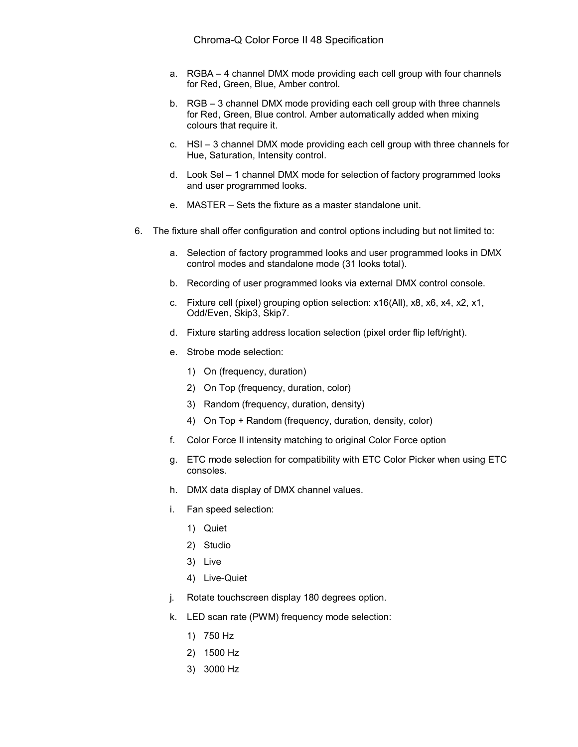- a. RGBA 4 channel DMX mode providing each cell group with four channels for Red, Green, Blue, Amber control.
- b. RGB 3 channel DMX mode providing each cell group with three channels for Red, Green, Blue control. Amber automatically added when mixing colours that require it.
- c. HSI 3 channel DMX mode providing each cell group with three channels for Hue, Saturation, Intensity control.
- d. Look Sel 1 channel DMX mode for selection of factory programmed looks and user programmed looks.
- e. MASTER Sets the fixture as a master standalone unit.
- 6. The fixture shall offer configuration and control options including but not limited to:
	- a. Selection of factory programmed looks and user programmed looks in DMX control modes and standalone mode (31 looks total).
	- b. Recording of user programmed looks via external DMX control console.
	- c. Fixture cell (pixel) grouping option selection: x16(All), x8, x6, x4, x2, x1, Odd/Even, Skip3, Skip7.
	- d. Fixture starting address location selection (pixel order flip left/right).
	- e. Strobe mode selection:
		- 1) On (frequency, duration)
		- 2) On Top (frequency, duration, color)
		- 3) Random (frequency, duration, density)
		- 4) On Top + Random (frequency, duration, density, color)
	- f. Color Force II intensity matching to original Color Force option
	- g. ETC mode selection for compatibility with ETC Color Picker when using ETC consoles.
	- h. DMX data display of DMX channel values.
	- i. Fan speed selection:
		- 1) Quiet
		- 2) Studio
		- 3) Live
		- 4) Live-Quiet
	- j. Rotate touchscreen display 180 degrees option.
	- k. LED scan rate (PWM) frequency mode selection:
		- 1) 750 Hz
		- 2) 1500 Hz
		- 3) 3000 Hz